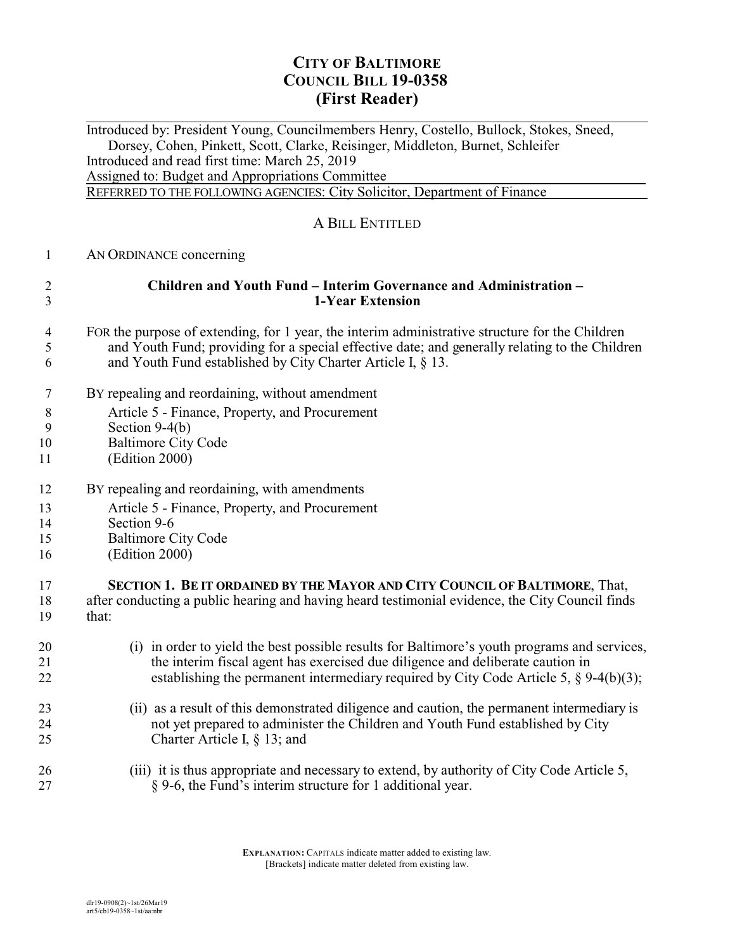## **CITY OF BALTIMORE COUNCIL BILL 19-0358 (First Reader)**

 $\overline{a}$ Introduced by: President Young, Councilmembers Henry, Costello, Bullock, Stokes, Sneed, Dorsey, Cohen, Pinkett, Scott, Clarke, Reisinger, Middleton, Burnet, Schleifer Introduced and read first time: March 25, 2019 Assigned to: Budget and Appropriations Committee REFERRED TO THE FOLLOWING AGENCIES: City Solicitor, Department of Finance A BILL ENTITLED AN ORDINANCE concerning **Children and Youth Fund – Interim Governance and Administration – 1-Year Extension** FOR the purpose of extending, for 1 year, the interim administrative structure for the Children and Youth Fund; providing for a special effective date; and generally relating to the Children and Youth Fund established by City Charter Article I, § 13. BY repealing and reordaining, without amendment Article 5 - Finance, Property, and Procurement Section 9-4(b) Baltimore City Code (Edition 2000) BY repealing and reordaining, with amendments Article 5 - Finance, Property, and Procurement Section 9-6 Baltimore City Code (Edition 2000) **SECTION 1. BE IT ORDAINED BY THE MAYOR AND CITY COUNCIL OF BALTIMORE**, That, after conducting a public hearing and having heard testimonial evidence, the City Council finds that: (i) in order to yield the best possible results for Baltimore's youth programs and services, the interim fiscal agent has exercised due diligence and deliberate caution in 22 establishing the permanent intermediary required by City Code Article 5, § 9-4(b)(3); (ii) as a result of this demonstrated diligence and caution, the permanent intermediary is not yet prepared to administer the Children and Youth Fund established by City Charter Article I, § 13; and (iii) it is thus appropriate and necessary to extend, by authority of City Code Article 5, § 9-6, the Fund's interim structure for 1 additional year.

> **EXPLANATION:** CAPITALS indicate matter added to existing law. [Brackets] indicate matter deleted from existing law.